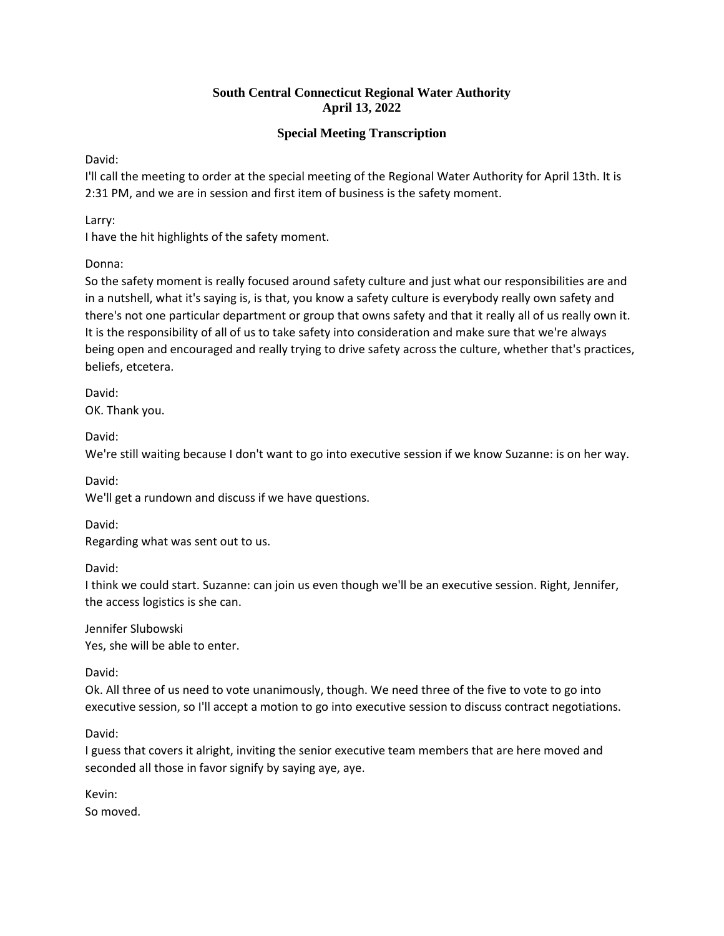## **Special Meeting Transcription**

David:

I'll call the meeting to order at the special meeting of the Regional Water Authority for April 13th. It is 2:31 PM, and we are in session and first item of business is the safety moment.

Larry:

I have the hit highlights of the safety moment.

Donna:

So the safety moment is really focused around safety culture and just what our responsibilities are and in a nutshell, what it's saying is, is that, you know a safety culture is everybody really own safety and there's not one particular department or group that owns safety and that it really all of us really own it. It is the responsibility of all of us to take safety into consideration and make sure that we're always being open and encouraged and really trying to drive safety across the culture, whether that's practices, beliefs, etcetera.

David: OK. Thank you.

David:

We're still waiting because I don't want to go into executive session if we know Suzanne: is on her way.

David:

We'll get a rundown and discuss if we have questions.

David:

Regarding what was sent out to us.

David:

I think we could start. Suzanne: can join us even though we'll be an executive session. Right, Jennifer, the access logistics is she can.

Jennifer Slubowski Yes, she will be able to enter.

David:

Ok. All three of us need to vote unanimously, though. We need three of the five to vote to go into executive session, so I'll accept a motion to go into executive session to discuss contract negotiations.

David:

I guess that covers it alright, inviting the senior executive team members that are here moved and seconded all those in favor signify by saying aye, aye.

Kevin: So moved.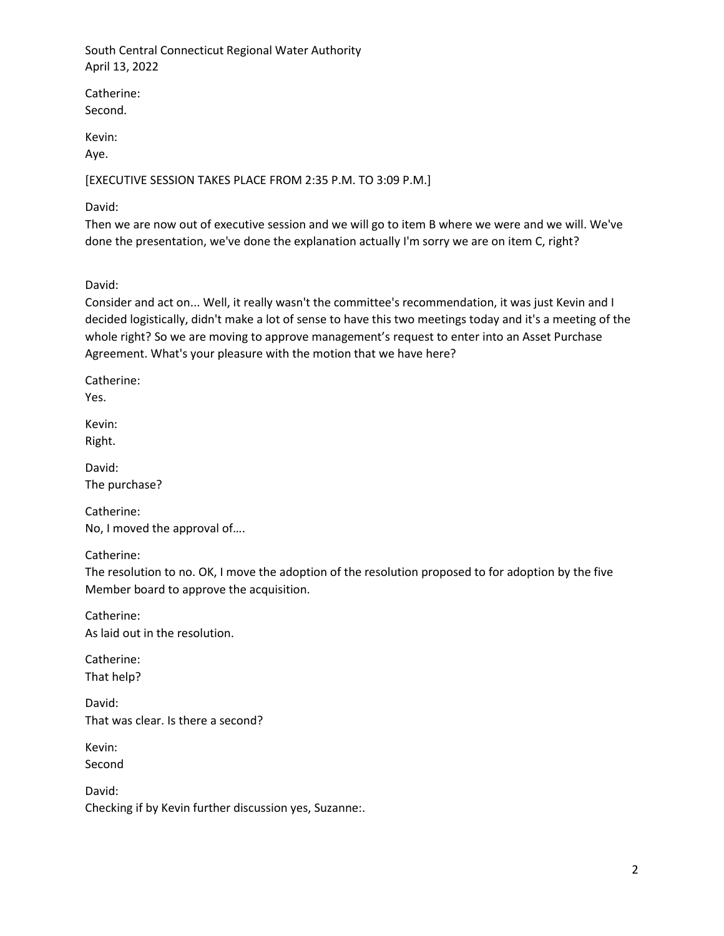Catherine: Second.

Kevin:

Aye.

[EXECUTIVE SESSION TAKES PLACE FROM 2:35 P.M. TO 3:09 P.M.]

David:

Then we are now out of executive session and we will go to item B where we were and we will. We've done the presentation, we've done the explanation actually I'm sorry we are on item C, right?

David:

Consider and act on... Well, it really wasn't the committee's recommendation, it was just Kevin and I decided logistically, didn't make a lot of sense to have this two meetings today and it's a meeting of the whole right? So we are moving to approve management's request to enter into an Asset Purchase Agreement. What's your pleasure with the motion that we have here?

Catherine:

Yes.

Kevin: Right.

David: The purchase?

Catherine: No, I moved the approval of….

Catherine:

The resolution to no. OK, I move the adoption of the resolution proposed to for adoption by the five Member board to approve the acquisition.

Catherine: As laid out in the resolution.

Catherine: That help?

David: That was clear. Is there a second?

Kevin: Second

David: Checking if by Kevin further discussion yes, Suzanne:.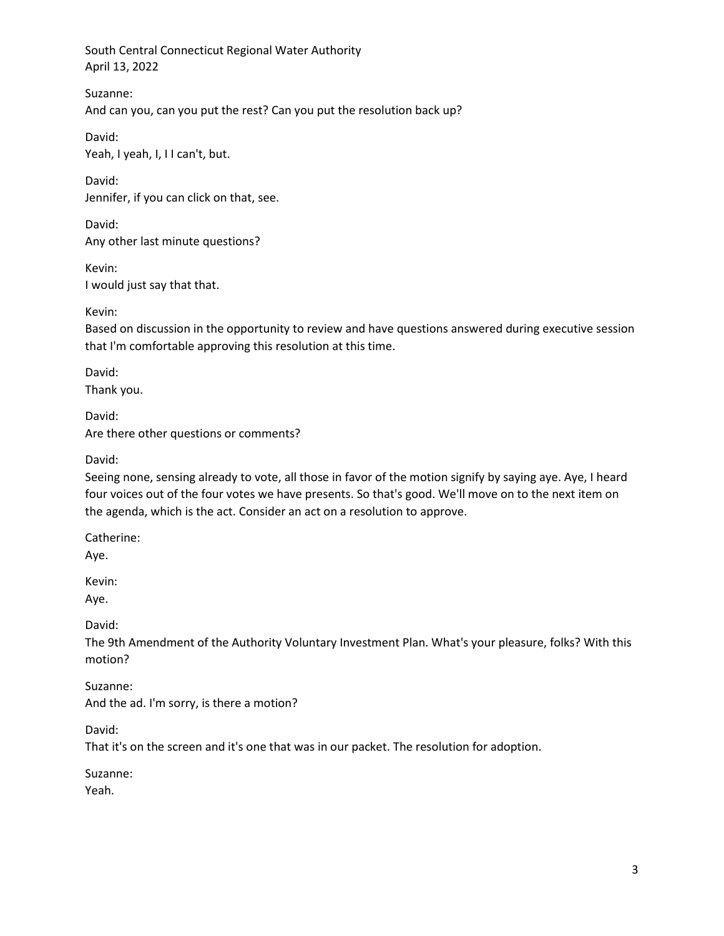Suzanne: And can you, can you put the rest? Can you put the resolution back up?

David: Yeah, I yeah, I, I I can't, but.

David: Jennifer, if you can click on that, see.

David: Any other last minute questions?

Kevin: I would just say that that.

Kevin:

Based on discussion in the opportunity to review and have questions answered during executive session that I'm comfortable approving this resolution at this time.

David: Thank you.

David: Are there other questions or comments?

David:

Seeing none, sensing already to vote, all those in favor of the motion signify by saying aye. Aye, I heard four voices out of the four votes we have presents. So that's good. We'll move on to the next item on the agenda, which is the act. Consider an act on a resolution to approve.

Catherine:

Aye.

Kevin:

Aye.

David:

The 9th Amendment of the Authority Voluntary Investment Plan. What's your pleasure, folks? With this motion?

Suzanne: And the ad. I'm sorry, is there a motion?

David:

That it's on the screen and it's one that was in our packet. The resolution for adoption.

Suzanne:

Yeah.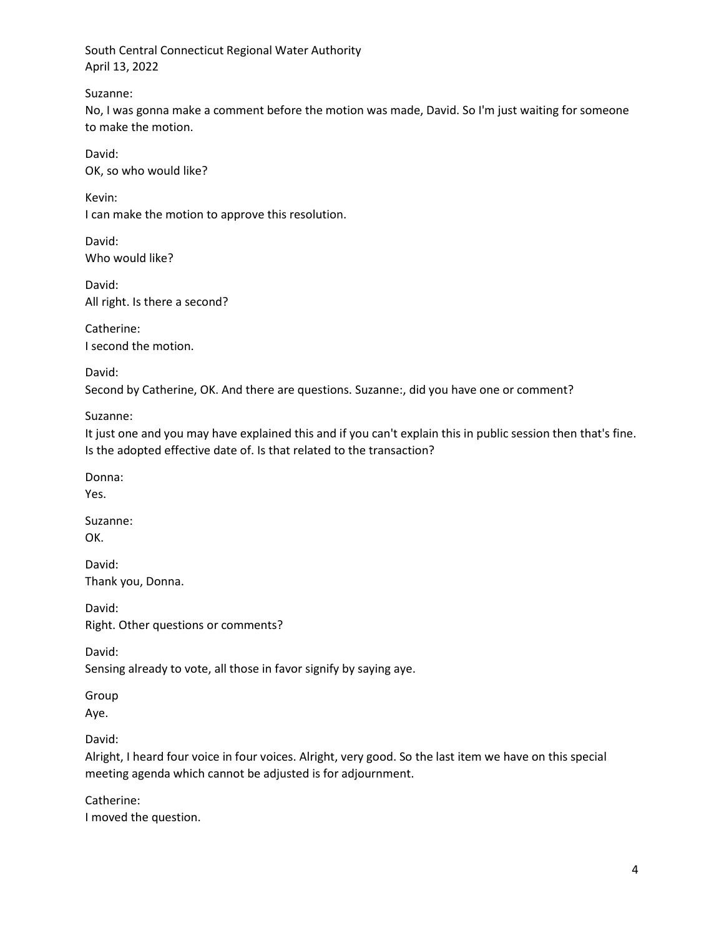Suzanne:

No, I was gonna make a comment before the motion was made, David. So I'm just waiting for someone to make the motion.

David: OK, so who would like?

Kevin: I can make the motion to approve this resolution.

David: Who would like?

David: All right. Is there a second?

Catherine: I second the motion.

David: Second by Catherine, OK. And there are questions. Suzanne:, did you have one or comment?

Suzanne:

It just one and you may have explained this and if you can't explain this in public session then that's fine. Is the adopted effective date of. Is that related to the transaction?

Donna:

Yes.

Suzanne: OK.

David: Thank you, Donna.

David: Right. Other questions or comments?

David:

Sensing already to vote, all those in favor signify by saying aye.

Group

Aye.

David:

Alright, I heard four voice in four voices. Alright, very good. So the last item we have on this special meeting agenda which cannot be adjusted is for adjournment.

Catherine: I moved the question.